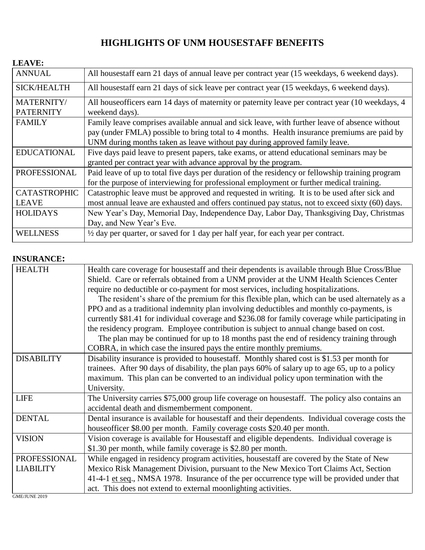# **HIGHLIGHTS OF UNM HOUSESTAFF BENEFITS**

#### **LEAVE:**

| <b>ANNUAL</b>       | All housestaff earn 21 days of annual leave per contract year (15 weekdays, 6 weekend days).     |  |
|---------------------|--------------------------------------------------------------------------------------------------|--|
| <b>SICK/HEALTH</b>  | All housestaff earn 21 days of sick leave per contract year (15 weekdays, 6 weekend days).       |  |
| MATERNITY/          | All houseofficers earn 14 days of maternity or paternity leave per contract year (10 weekdays, 4 |  |
| <b>PATERNITY</b>    | weekend days).                                                                                   |  |
| <b>FAMILY</b>       | Family leave comprises available annual and sick leave, with further leave of absence without    |  |
|                     | pay (under FMLA) possible to bring total to 4 months. Health insurance premiums are paid by      |  |
|                     | UNM during months taken as leave without pay during approved family leave.                       |  |
| <b>EDUCATIONAL</b>  | Five days paid leave to present papers, take exams, or attend educational seminars may be        |  |
|                     | granted per contract year with advance approval by the program.                                  |  |
| PROFESSIONAL        | Paid leave of up to total five days per duration of the residency or fellowship training program |  |
|                     | for the purpose of interviewing for professional employment or further medical training.         |  |
| <b>CATASTROPHIC</b> | Catastrophic leave must be approved and requested in writing. It is to be used after sick and    |  |
| <b>LEAVE</b>        | most annual leave are exhausted and offers continued pay status, not to exceed sixty (60) days.  |  |
| <b>HOLIDAYS</b>     | New Year's Day, Memorial Day, Independence Day, Labor Day, Thanksgiving Day, Christmas           |  |
|                     | Day, and New Year's Eve.                                                                         |  |
| <b>WELLNESS</b>     | $\frac{1}{2}$ day per quarter, or saved for 1 day per half year, for each year per contract.     |  |

### **INSURANCE:**

| <b>HEALTH</b>     | Health care coverage for housestaff and their dependents is available through Blue Cross/Blue     |
|-------------------|---------------------------------------------------------------------------------------------------|
|                   | Shield. Care or referrals obtained from a UNM provider at the UNM Health Sciences Center          |
|                   | require no deductible or co-payment for most services, including hospitalizations.                |
|                   | The resident's share of the premium for this flexible plan, which can be used alternately as a    |
|                   | PPO and as a traditional indemnity plan involving deductibles and monthly co-payments, is         |
|                   | currently \$81.41 for individual coverage and \$236.08 for family coverage while participating in |
|                   | the residency program. Employee contribution is subject to annual change based on cost.           |
|                   | The plan may be continued for up to 18 months past the end of residency training through          |
|                   | COBRA, in which case the insured pays the entire monthly premiums.                                |
| <b>DISABILITY</b> | Disability insurance is provided to house staff. Monthly shared cost is \$1.53 per month for      |
|                   | trainees. After 90 days of disability, the plan pays 60% of salary up to age 65, up to a policy   |
|                   | maximum. This plan can be converted to an individual policy upon termination with the             |
|                   | University.                                                                                       |
| <b>LIFE</b>       | The University carries \$75,000 group life coverage on housestaff. The policy also contains an    |
|                   | accidental death and dismemberment component.                                                     |
| <b>DENTAL</b>     | Dental insurance is available for housestaff and their dependents. Individual coverage costs the  |
|                   | houseofficer \$8.00 per month. Family coverage costs \$20.40 per month.                           |
| <b>VISION</b>     | Vision coverage is available for Housestaff and eligible dependents. Individual coverage is       |
|                   | \$1.30 per month, while family coverage is \$2.80 per month.                                      |
| PROFESSIONAL      | While engaged in residency program activities, housestaff are covered by the State of New         |
| <b>LIABILITY</b>  | Mexico Risk Management Division, pursuant to the New Mexico Tort Claims Act, Section              |
|                   | 41-4-1 et seq., NMSA 1978. Insurance of the per occurrence type will be provided under that       |
|                   | act. This does not extend to external moonlighting activities.                                    |
| GME/JUNE 2019     |                                                                                                   |